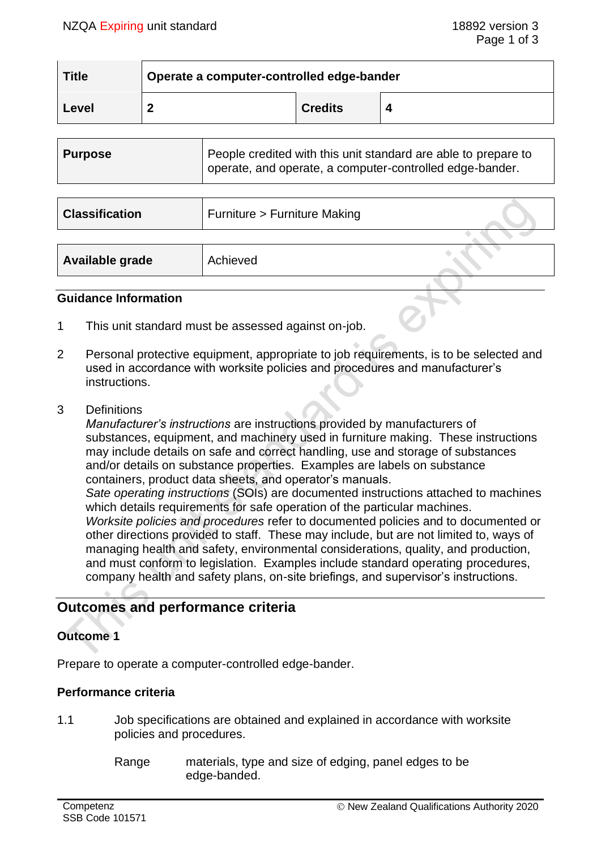| <b>Title</b> | Operate a computer-controlled edge-bander |                |  |  |
|--------------|-------------------------------------------|----------------|--|--|
| Level        |                                           | <b>Credits</b> |  |  |

|  | People credited with this unit standard are able to prepare to<br>Purpose<br>operate, and operate, a computer-controlled edge-bander. |  |
|--|---------------------------------------------------------------------------------------------------------------------------------------|--|
|--|---------------------------------------------------------------------------------------------------------------------------------------|--|

| <b>Classification</b> | Furniture > Furniture Making |  |
|-----------------------|------------------------------|--|
|                       |                              |  |
| Available grade       | Achieved                     |  |

#### **Guidance Information**

- 1 This unit standard must be assessed against on-job.
- 2 Personal protective equipment, appropriate to job requirements, is to be selected and used in accordance with worksite policies and procedures and manufacturer's instructions.
- 3 Definitions

*Manufacturer's instructions* are instructions provided by manufacturers of substances, equipment, and machinery used in furniture making. These instructions may include details on safe and correct handling, use and storage of substances and/or details on substance properties. Examples are labels on substance containers, product data sheets, and operator's manuals. *Sate operating instructions* (SOIs) are documented instructions attached to machines which details requirements for safe operation of the particular machines. *Worksite policies and procedures* refer to documented policies and to documented or other directions provided to staff. These may include, but are not limited to, ways of managing health and safety, environmental considerations, quality, and production,

and must conform to legislation. Examples include standard operating procedures, company health and safety plans, on-site briefings, and supervisor's instructions.

# **Outcomes and performance criteria**

#### **Outcome 1**

Prepare to operate a computer-controlled edge-bander.

## **Performance criteria**

- 1.1 Job specifications are obtained and explained in accordance with worksite policies and procedures.
	- Range materials, type and size of edging, panel edges to be edge-banded.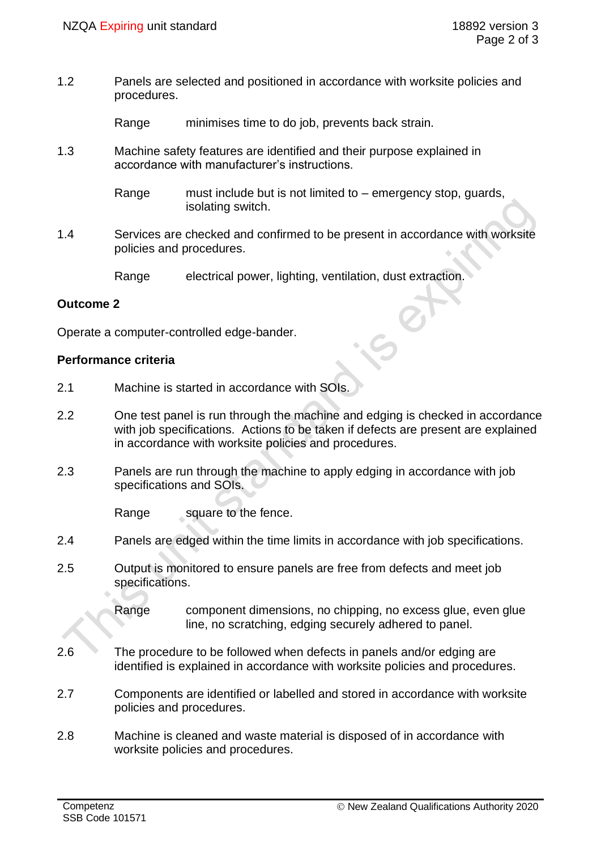1.2 Panels are selected and positioned in accordance with worksite policies and procedures.

Range minimises time to do job, prevents back strain.

1.3 Machine safety features are identified and their purpose explained in accordance with manufacturer's instructions.

> Range must include but is not limited to – emergency stop, guards, isolating switch.

1.4 Services are checked and confirmed to be present in accordance with worksite policies and procedures.

Range electrical power, lighting, ventilation, dust extraction.

#### **Outcome 2**

Operate a computer-controlled edge-bander.

#### **Performance criteria**

- 2.1 Machine is started in accordance with SOIs.
- 2.2 One test panel is run through the machine and edging is checked in accordance with job specifications. Actions to be taken if defects are present are explained in accordance with worksite policies and procedures.
- 2.3 Panels are run through the machine to apply edging in accordance with job specifications and SOIs.

Range square to the fence.

- 2.4 Panels are edged within the time limits in accordance with job specifications.
- 2.5 Output is monitored to ensure panels are free from defects and meet job specifications.

Range component dimensions, no chipping, no excess glue, even glue line, no scratching, edging securely adhered to panel.

- 2.6 The procedure to be followed when defects in panels and/or edging are identified is explained in accordance with worksite policies and procedures.
- 2.7 Components are identified or labelled and stored in accordance with worksite policies and procedures.
- 2.8 Machine is cleaned and waste material is disposed of in accordance with worksite policies and procedures.